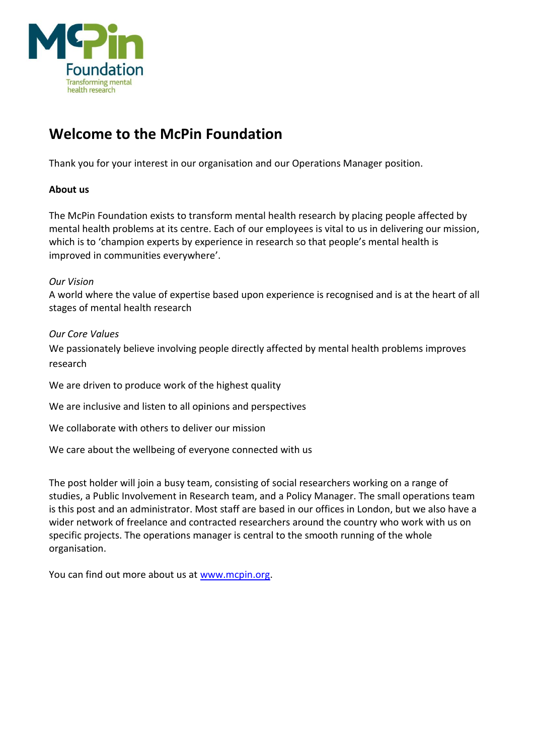

# **Welcome to the McPin Foundation**

Thank you for your interest in our organisation and our Operations Manager position.

## **About us**

The McPin Foundation exists to transform mental health research by placing people affected by mental health problems at its centre. Each of our employees is vital to us in delivering our mission, which is to 'champion experts by experience in research so that people's mental health is improved in communities everywhere'.

## *Our Vision*

A world where the value of expertise based upon experience is recognised and is at the heart of all stages of mental health research

## *Our Core Values*

We passionately believe involving people directly affected by mental health problems improves research

- We are driven to produce work of the highest quality
- We are inclusive and listen to all opinions and perspectives
- We collaborate with others to deliver our mission
- We care about the wellbeing of everyone connected with us

The post holder will join a busy team, consisting of social researchers working on a range of studies, a Public Involvement in Research team, and a Policy Manager. The small operations team is this post and an administrator. Most staff are based in our offices in London, but we also have a wider network of freelance and contracted researchers around the country who work with us on specific projects. The operations manager is central to the smooth running of the whole organisation.

You can find out more about us at [www.mcpin.org.](http://www.mcpin.org/)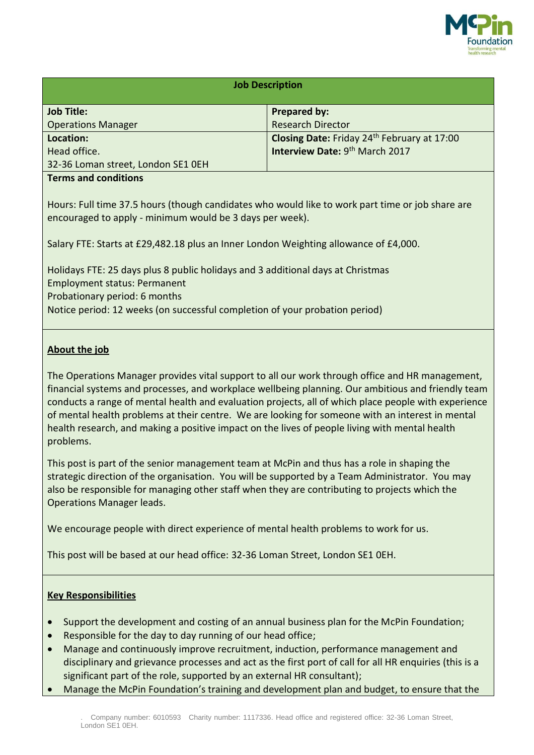

| <b>Job Description</b>             |                                                         |
|------------------------------------|---------------------------------------------------------|
| <b>Job Title:</b>                  | <b>Prepared by:</b>                                     |
| <b>Operations Manager</b>          | <b>Research Director</b>                                |
| Location:                          | Closing Date: Friday 24 <sup>th</sup> February at 17:00 |
| Head office.                       | Interview Date: 9th March 2017                          |
| 32-36 Loman street, London SE1 0EH |                                                         |
| <b>Terms and conditions</b>        |                                                         |

Hours: Full time 37.5 hours (though candidates who would like to work part time or job share are encouraged to apply - minimum would be 3 days per week).

Salary FTE: Starts at £29,482.18 plus an Inner London Weighting allowance of £4,000.

Holidays FTE: 25 days plus 8 public holidays and 3 additional days at Christmas Employment status: Permanent Probationary period: 6 months Notice period: 12 weeks (on successful completion of your probation period)

## **About the job**

The Operations Manager provides vital support to all our work through office and HR management, financial systems and processes, and workplace wellbeing planning. Our ambitious and friendly team conducts a range of mental health and evaluation projects, all of which place people with experience of mental health problems at their centre. We are looking for someone with an interest in mental health research, and making a positive impact on the lives of people living with mental health problems.

This post is part of the senior management team at McPin and thus has a role in shaping the strategic direction of the organisation. You will be supported by a Team Administrator. You may also be responsible for managing other staff when they are contributing to projects which the Operations Manager leads.

We encourage people with direct experience of mental health problems to work for us.

This post will be based at our head office: 32-36 Loman Street, London SE1 0EH.

#### **Key Responsibilities**

- Support the development and costing of an annual business plan for the McPin Foundation;
- Responsible for the day to day running of our head office;
- Manage and continuously improve recruitment, induction, performance management and disciplinary and grievance processes and act as the first port of call for all HR enquiries (this is a significant part of the role, supported by an external HR consultant);
- Manage the McPin Foundation's training and development plan and budget, to ensure that the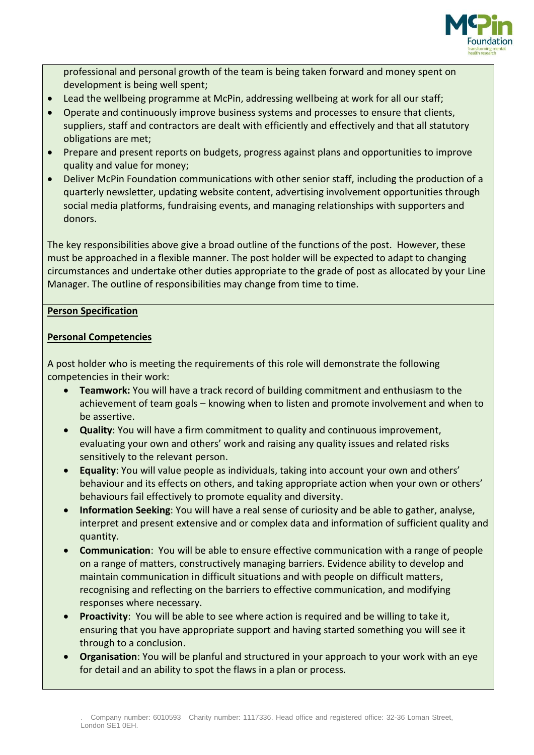

professional and personal growth of the team is being taken forward and money spent on development is being well spent;

- Lead the wellbeing programme at McPin, addressing wellbeing at work for all our staff;
- Operate and continuously improve business systems and processes to ensure that clients, suppliers, staff and contractors are dealt with efficiently and effectively and that all statutory obligations are met;
- Prepare and present reports on budgets, progress against plans and opportunities to improve quality and value for money;
- Deliver McPin Foundation communications with other senior staff, including the production of a quarterly newsletter, updating website content, advertising involvement opportunities through social media platforms, fundraising events, and managing relationships with supporters and donors.

The key responsibilities above give a broad outline of the functions of the post. However, these must be approached in a flexible manner. The post holder will be expected to adapt to changing circumstances and undertake other duties appropriate to the grade of post as allocated by your Line Manager. The outline of responsibilities may change from time to time.

## **Person Specification**

## **Personal Competencies**

A post holder who is meeting the requirements of this role will demonstrate the following competencies in their work:

- **Teamwork:** You will have a track record of building commitment and enthusiasm to the achievement of team goals – knowing when to listen and promote involvement and when to be assertive.
- **Quality**: You will have a firm commitment to quality and continuous improvement, evaluating your own and others' work and raising any quality issues and related risks sensitively to the relevant person.
- **Equality**: You will value people as individuals, taking into account your own and others' behaviour and its effects on others, and taking appropriate action when your own or others' behaviours fail effectively to promote equality and diversity.
- **Information Seeking**: You will have a real sense of curiosity and be able to gather, analyse, interpret and present extensive and or complex data and information of sufficient quality and quantity.
- **Communication**: You will be able to ensure effective communication with a range of people on a range of matters, constructively managing barriers. Evidence ability to develop and maintain communication in difficult situations and with people on difficult matters, recognising and reflecting on the barriers to effective communication, and modifying responses where necessary.
- **Proactivity**: You will be able to see where action is required and be willing to take it, ensuring that you have appropriate support and having started something you will see it through to a conclusion.
- **Organisation**: You will be planful and structured in your approach to your work with an eye for detail and an ability to spot the flaws in a plan or process.